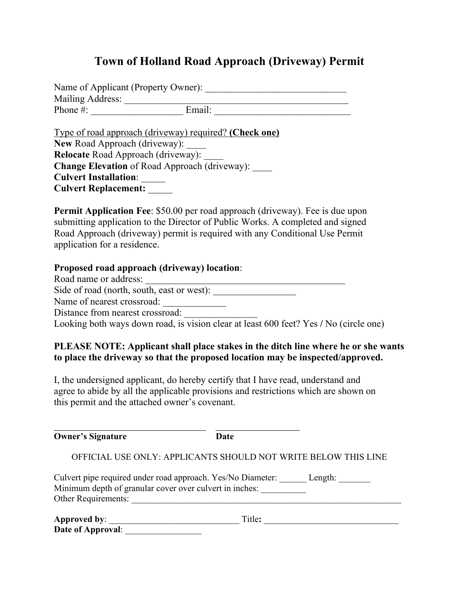## **Town of Holland Road Approach (Driveway) Permit**

Name of Applicant (Property Owner): \_\_\_\_\_\_\_\_\_\_\_\_\_\_\_\_\_\_\_\_\_\_\_\_\_\_\_\_\_ Mailing Address: \_\_\_\_\_\_\_\_\_\_\_\_\_\_\_\_\_\_\_\_\_\_\_\_\_\_\_\_\_\_\_\_\_\_\_\_\_\_\_\_\_\_\_\_\_\_ Phone #: \_\_\_\_\_\_\_\_\_\_\_\_\_\_\_\_\_\_\_ Email: \_\_\_\_\_\_\_\_\_\_\_\_\_\_\_\_\_\_\_\_\_\_\_\_\_\_\_\_

Type of road approach (driveway) required? **(Check one)**  New Road Approach (driveway): **Relocate** Road Approach (driveway): \_\_\_\_ Change Elevation of Road Approach (driveway): \_\_\_\_\_ **Culvert Installation**: \_\_\_\_\_ **Culvert Replacement:** \_\_\_\_\_

**Permit Application Fee**: \$50.00 per road approach (driveway). Fee is due upon submitting application to the Director of Public Works. A completed and signed Road Approach (driveway) permit is required with any Conditional Use Permit application for a residence.

## **Proposed road approach (driveway) location**:

| Road name or address:                                                                 |  |
|---------------------------------------------------------------------------------------|--|
| Side of road (north, south, east or west):                                            |  |
| Name of nearest crossroad:                                                            |  |
| Distance from nearest crossroad:                                                      |  |
| Looking both ways down road, is vision clear at least 600 feet? Yes / No (circle one) |  |

## **PLEASE NOTE: Applicant shall place stakes in the ditch line where he or she wants to place the driveway so that the proposed location may be inspected/approved.**

I, the undersigned applicant, do hereby certify that I have read, understand and agree to abide by all the applicable provisions and restrictions which are shown on this permit and the attached owner's covenant.

| <b>Owner's Signature</b> | Date                                                                                                                   |                         |
|--------------------------|------------------------------------------------------------------------------------------------------------------------|-------------------------|
|                          | OFFICIAL USE ONLY: APPLICANTS SHOULD NOT WRITE BELOW THIS LINE                                                         |                         |
| Other Requirements:      | Culvert pipe required under road approach. Yes/No Diameter:<br>Minimum depth of granular cover over culvert in inches: | Length: $\qquad \qquad$ |
|                          | Title:                                                                                                                 |                         |
| Date of Approval:        |                                                                                                                        |                         |